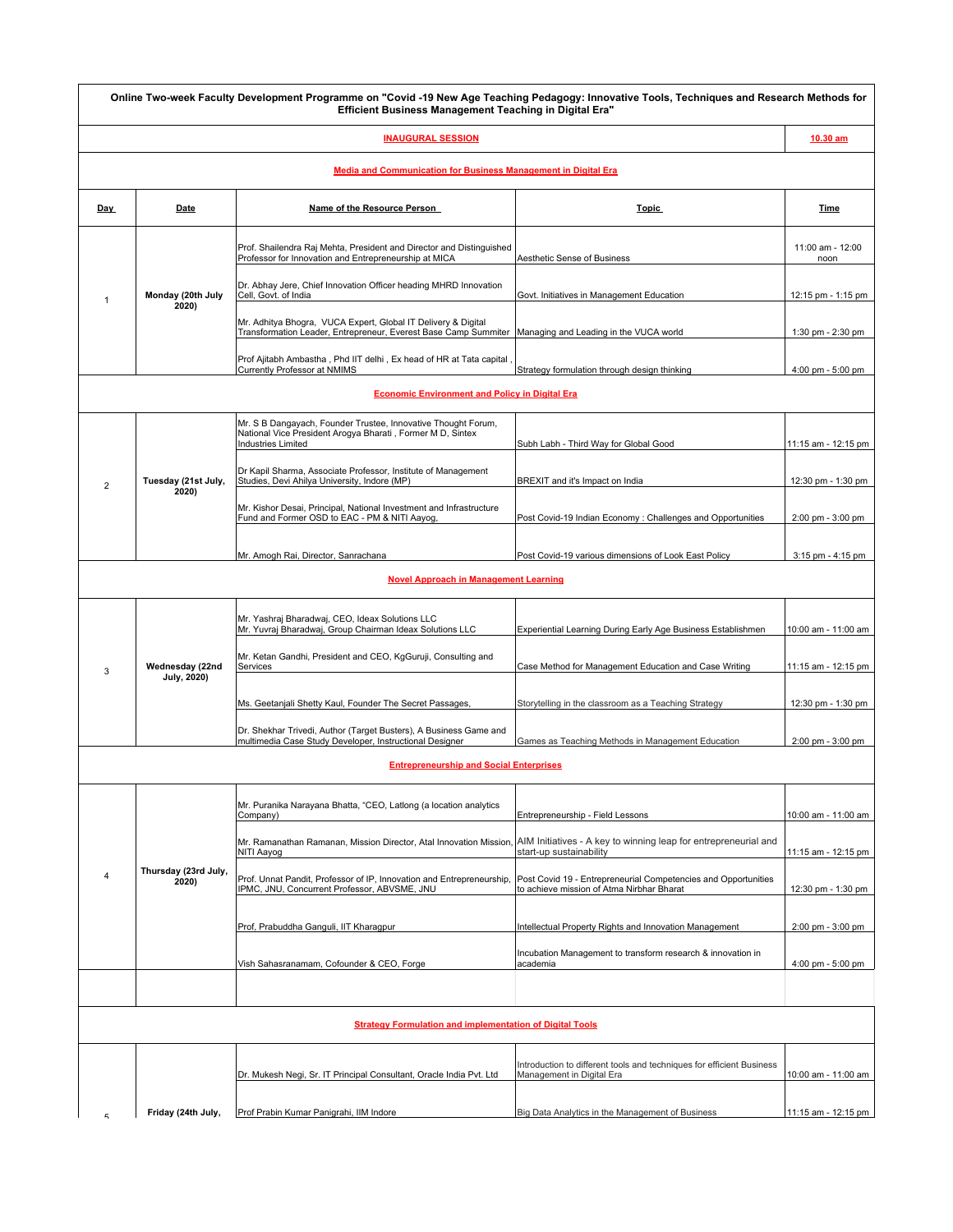|                                                                       |                                | Online Two-week Faculty Development Programme on "Covid -19 New Age Teaching Pedagogy: Innovative Tools, Techniques and Research Methods for<br>Efficient Business Management Teaching in Digital Era" |                                                                                                             |                          |  |  |  |
|-----------------------------------------------------------------------|--------------------------------|--------------------------------------------------------------------------------------------------------------------------------------------------------------------------------------------------------|-------------------------------------------------------------------------------------------------------------|--------------------------|--|--|--|
|                                                                       |                                | <b>INAUGURAL SESSION</b>                                                                                                                                                                               |                                                                                                             | 10.30 am                 |  |  |  |
| <b>Media and Communication for Business Management in Digital Era</b> |                                |                                                                                                                                                                                                        |                                                                                                             |                          |  |  |  |
| Day                                                                   | Date                           | Name of the Resource Person                                                                                                                                                                            | <b>Topic</b>                                                                                                | Time                     |  |  |  |
| -1                                                                    | Monday (20th July<br>2020      | Prof. Shailendra Raj Mehta, President and Director and Distinguished<br>Professor for Innovation and Entrepreneurship at MICA                                                                          | Aesthetic Sense of Business                                                                                 | 11:00 am - 12:00<br>noon |  |  |  |
|                                                                       |                                | Dr. Abhay Jere, Chief Innovation Officer heading MHRD Innovation<br>Cell, Govt. of India                                                                                                               | Govt. Initiatives in Management Education                                                                   | 12:15 pm - 1:15 pm       |  |  |  |
|                                                                       |                                | Mr. Adhitya Bhogra, VUCA Expert, Global IT Delivery & Digital<br>Transformation Leader, Entrepreneur, Everest Base Camp Summiter   Managing and Leading in the VUCA world                              |                                                                                                             | 1:30 pm - 2:30 pm        |  |  |  |
|                                                                       |                                | Prof Ajitabh Ambastha, Phd IIT delhi, Ex head of HR at Tata capital<br>Currently Professor at NMIMS                                                                                                    | Strategy formulation through design thinking                                                                | 4:00 pm - 5:00 pm        |  |  |  |
| <b>Economic Environment and Policy in Digital Era</b>                 |                                |                                                                                                                                                                                                        |                                                                                                             |                          |  |  |  |
| $\overline{2}$                                                        | Tuesday (21st July,<br>2020)   | Mr. S B Dangayach, Founder Trustee, Innovative Thought Forum,<br>National Vice President Arogya Bharati, Former M D, Sintex<br><b>Industries Limited</b>                                               | Subh Labh - Third Way for Global Good                                                                       | 11:15 am - 12:15 pm      |  |  |  |
|                                                                       |                                | Dr Kapil Sharma, Associate Professor, Institute of Management<br>Studies, Devi Ahilya University, Indore (MP)                                                                                          | BREXIT and it's Impact on India                                                                             | 12:30 pm - 1:30 pm       |  |  |  |
|                                                                       |                                | Mr. Kishor Desai, Principal, National Investment and Infrastructure<br>Fund and Former OSD to EAC - PM & NITI Aayog,                                                                                   | Post Covid-19 Indian Economy: Challenges and Opportunities                                                  | 2:00 pm - 3:00 pm        |  |  |  |
|                                                                       |                                | Mr. Amogh Rai, Director, Sanrachana                                                                                                                                                                    | Post Covid-19 various dimensions of Look East Policy                                                        | $3:15$ pm - $4:15$ pm    |  |  |  |
| <b>Novel Approach in Management Learning</b>                          |                                |                                                                                                                                                                                                        |                                                                                                             |                          |  |  |  |
| 3                                                                     | Wednesday (22nd<br>July, 2020) | Mr. Yashraj Bharadwaj, CEO, Ideax Solutions LLC<br>Mr. Yuvraj Bharadwaj, Group Chairman Ideax Solutions LLC                                                                                            | Experiential Learning During Early Age Business Establishmen                                                | 10:00 am - 11:00 am      |  |  |  |
|                                                                       |                                | Mr. Ketan Gandhi, President and CEO, KgGuruji, Consulting and<br>Services                                                                                                                              | Case Method for Management Education and Case Writing                                                       | 11:15 am - 12:15 pm      |  |  |  |
|                                                                       |                                | Ms. Geetanjali Shetty Kaul, Founder The Secret Passages,                                                                                                                                               | Storytelling in the classroom as a Teaching Strategy                                                        | 12:30 pm - 1:30 pm       |  |  |  |
|                                                                       |                                | Dr. Shekhar Trivedi, Author (Target Busters), A Business Game and<br>multimedia Case Study Developer, Instructional Designer                                                                           | Games as Teaching Methods in Management Education                                                           | 2:00 pm - 3:00 pm        |  |  |  |
| <b>Entrepreneurship and Social Enterprises</b>                        |                                |                                                                                                                                                                                                        |                                                                                                             |                          |  |  |  |
|                                                                       | Thursday (23rd July,<br>2020)  | Mr. Puranika Narayana Bhatta, "CEO, Latlong (a location analytics<br>Company)                                                                                                                          | Entrepreneurship - Field Lessons                                                                            | 10:00 am - 11:00 am      |  |  |  |
| $\overline{4}$                                                        |                                | Mr. Ramanathan Ramanan, Mission Director, Atal Innovation Mission, AIM Initiatives - A key to winning leap for entrepreneurial and<br>NITI Aavog                                                       | start-up sustainability                                                                                     | 11:15 am - 12:15 pm      |  |  |  |
|                                                                       |                                | Prof. Unnat Pandit, Professor of IP, Innovation and Entrepreneurship,<br>IPMC, JNU, Concurrent Professor, ABVSME, JNU                                                                                  | Post Covid 19 - Entrepreneurial Competencies and Opportunities<br>to achieve mission of Atma Nirbhar Bharat | 12:30 pm - 1:30 pm       |  |  |  |
|                                                                       |                                | Prof, Prabuddha Ganguli, IIT Kharagpur                                                                                                                                                                 | Intellectual Property Rights and Innovation Management                                                      | 2:00 pm - 3:00 pm        |  |  |  |
|                                                                       |                                | Vish Sahasranamam, Cofounder & CEO, Forge                                                                                                                                                              | Incubation Management to transform research & innovation in<br>academia                                     | 4:00 pm - 5:00 pm        |  |  |  |
|                                                                       |                                |                                                                                                                                                                                                        |                                                                                                             |                          |  |  |  |
| <b>Strategy Formulation and implementation of Digital Tools</b>       |                                |                                                                                                                                                                                                        |                                                                                                             |                          |  |  |  |
|                                                                       |                                | Dr. Mukesh Negi, Sr. IT Principal Consultant, Oracle India Pvt. Ltd                                                                                                                                    | Introduction to different tools and techniques for efficient Business<br>Management in Digital Era          | 10:00 am - 11:00 am      |  |  |  |
| г,                                                                    | Friday (24th July,             | Prof Prabin Kumar Panigrahi, IIM Indore                                                                                                                                                                | Big Data Analytics in the Management of Business                                                            | 11:15 am - 12:15 pm      |  |  |  |